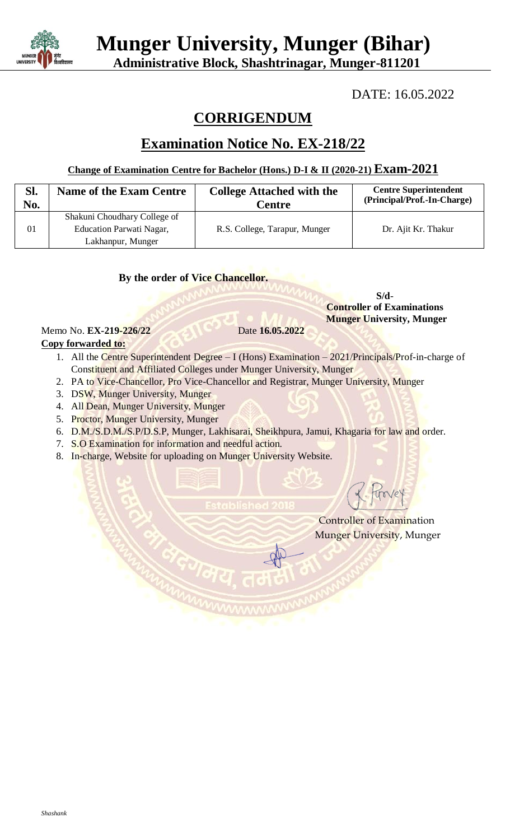

 **Munger University, Munger (Bihar)**

 **Administrative Block, Shashtrinagar, Munger-811201**

DATE: 16.05.2022

# **CORRIGENDUM**

## **Examination Notice No. EX-218/22**

## **Change of Examination Centre for Bachelor (Hons.) D-I & II (2020-21) Exam-2021**

| SI.<br>No. | <b>Name of the Exam Centre</b> | <b>College Attached with the</b><br>Centre | <b>Centre Superintendent</b><br>(Principal/Prof.-In-Charge) |
|------------|--------------------------------|--------------------------------------------|-------------------------------------------------------------|
| 01         | Shakuni Choudhary College of   | R.S. College, Tarapur, Munger              | Dr. Ajit Kr. Thakur                                         |
|            | Education Parwati Nagar,       |                                            |                                                             |
|            | Lakhanpur, Munger              |                                            |                                                             |

**By the order of Vice Chancellor.**

**S/d**- **Controller of Examinations Munger University, Munger**

#### Memo No. **EX-219-226/22** Date **16.05.2022 Copy forwarded to:**

- 1. All the Centre Superintendent Degree I (Hons) Examination 2021/Principals/Prof-in-charge of Constituent and Affiliated Colleges under Munger University, Munger
- 2. PA to Vice-Chancellor, Pro Vice-Chancellor and Registrar, Munger University, Munger
- 3. DSW, Munger University, Munger
- 4. All Dean, Munger University, Munger
- 5. Proctor, Munger University, Munger
- 6. D.M./S.D.M./S.P/D.S.P, Munger, Lakhisarai, Sheikhpura, Jamui, Khagaria for law and order.
- 7. S.O Examination for information and needful action.
- 8. In-charge, Website for uploading on Munger University Website.

Controller of Examination Munger University, Munger